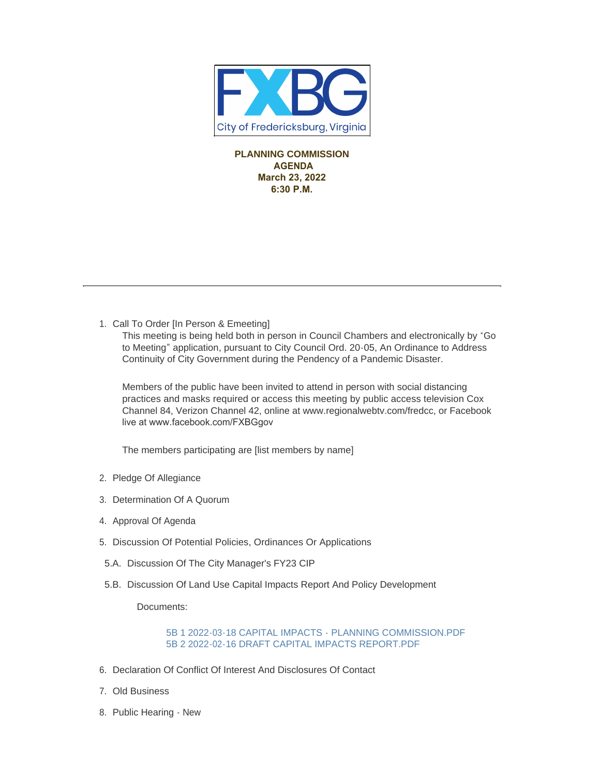

**PLANNING COMMISSION AGENDA March 23, 2022 6:30 P.M.** 

1. Call To Order [In Person & Emeeting]

This meeting is being held both in person in Council Chambers and electronically by "Go to Meeting" application, pursuant to City Council Ord. 20-05, An Ordinance to Address Continuity of City Government during the Pendency of a Pandemic Disaster.

Members of the public have been invited to attend in person with social distancing practices and masks required or access this meeting by public access television Cox Channel 84, Verizon Channel 42, online at www.regionalwebtv.com/fredcc, or Facebook live at www.facebook.com/FXBGgov

The members participating are [list members by name]

- 2. Pledge Of Allegiance
- 3. Determination Of A Quorum
- 4. Approval Of Agenda
- 5. Discussion Of Potential Policies, Ordinances Or Applications
- 5.A. Discussion Of The City Manager's FY23 CIP
- 5.B. Discussion Of Land Use Capital Impacts Report And Policy Development

Documents:

[5B 1 2022-03-18 CAPITAL IMPACTS - PLANNING COMMISSION.PDF](https://www.fredericksburgva.gov/AgendaCenter/ViewFile/Item/15012?fileID=11828) [5B 2 2022-02-16 DRAFT CAPITAL IMPACTS REPORT.PDF](https://www.fredericksburgva.gov/AgendaCenter/ViewFile/Item/15012?fileID=11829)

- 6. Declaration Of Conflict Of Interest And Disclosures Of Contact
- Old Business 7.
- 8. Public Hearing New